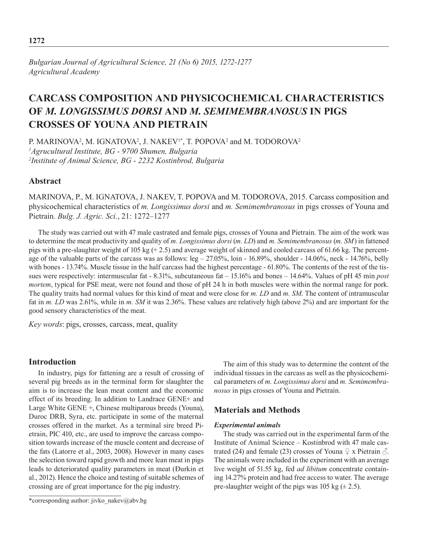*Bulgarian Journal of Agricultural Science, 21 (No 6) 2015, 1272-1277 Agricultural Academy*

# **CARCASS COMPOSITION AND PHYSICOCHEMICAL CHARACTERISTICS OF** *M. LONGISSIMUS DORSI* **AND** *M. SEMIMEMBRANOSUS* **IN PIGS CROSSES OF YOUNA AND PIETRAIN**

P. MARINOVA<sup>2</sup>, M. IGNATOVA<sup>2</sup>, J. NAKEV<sup>1\*</sup>, T. POPOVA<sup>2</sup> and M. TODOROVA<sup>2</sup> *1 Agrucultural Institute, BG - 9700 Shumen, Bulgaria 2 Institute of Animal Science, BG - 2232 Kostinbrod, Bulgaria*

# **Abstract**

MARINOVA, P., M. IGNATOVA, J. NAKEV, T. POPOVA and M. TODOROVA, 2015. Carcass composition and physicochemical characteristics of *m. Longissimus dorsi* and *m. Semimembranosus* in pigs crosses of Youna and Pietrain. *Bulg. J. Agric. Sci.*, 21: 1272–1277

The study was carried out with 47 male castrated and female pigs, crosses of Youna and Pietrain. The aim of the work was to determine the meat productivity and quality of *m. Longissimus dorsi* (*m. LD*) and *m. Semimembranosus* (*m. SM*) in fattened pigs with a pre-slaughter weight of 105 kg (+ 2.5) and average weight of skinned and cooled carcass of 61.66 kg. The percentage of the valuable parts of the carcass was as follows: leg – 27.05%, loin - 16.89%, shoulder - 14.06%, neck - 14.76%, belly with bones - 13.74%. Muscle tissue in the half carcass had the highest percentage - 61.80%. The contents of the rest of the tissues were respectively: intermuscular fat - 8.31%, subcutaneous fat – 15.16% and bones – 14.64%. Values of pH 45 min *post mortem*, typical for PSE meat, were not found and those of pH 24 h in both muscles were within the normal range for pork. The quality traits had normal values for this kind of meat and were close for *m. LD* and *m. SM*. The content of intramuscular fat in *m. LD* was 2.61%, while in *m. SM* it was 2.36%. These values are relatively high (above 2%) and are important for the good sensory characteristics of the meat.

*Key words*: pigs, crosses, carcass, meat, quality

#### **Introduction**

In industry, pigs for fattening are a result of crossing of several pig breeds as in the terminal form for slaughter the aim is to increase the lean meat content and the economic effect of its breeding. In addition to Landrace GENE+ and Large White GENE +, Chinese multiparous breeds (Youna), Duroc DRB, Syra, etc. participate in some of the maternal crosses offered in the market. As a terminal sire breed Pietrain, PIC 410, etc., are used to improve the carcass composition towards increase of the muscle content and decrease of the fats (Latorre et al., 2003, 2008). However in many cases the selection toward rapid growth and more lean meat in pigs leads to deteriorated quality parameters in meat (Đurkin et al., 2012). Hence the choice and testing of suitable schemes of crossing are of great importance for the pig industry.

\*corresponding author: jivko\_nakev@abv.bg

The aim of this study was to determine the content of the individual tissues in the carcass as well as the physicochemical parameters of *m. Longissimus dorsi* and *m. Semimembranosus* in pigs crosses of Youna and Pietrain.

### **Materials and Methods**

#### *Experimental animals*

The study was carried out in the experimental farm of the Institute of Animal Science – Kostinbrod with 47 male castrated (24) and female (23) crosses of Youna  $\varphi$  x Pietrain  $\varphi$ . The animals were included in the experiment with an average live weight of 51.55 kg, fed *ad libitum* concentrate containing 14.27% protein and had free access to water. The average pre-slaughter weight of the pigs was 105 kg  $(\pm 2.5)$ .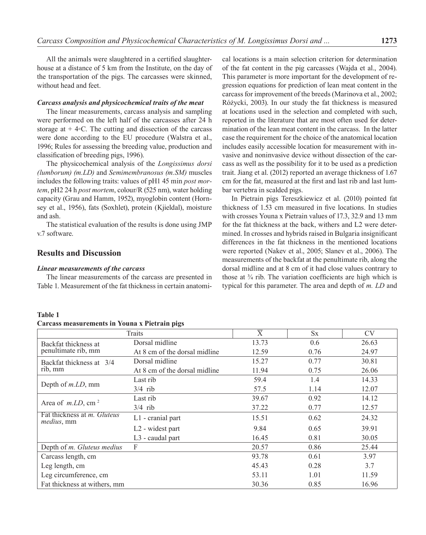All the animals were slaughtered in a certified slaughterhouse at a distance of 5 km from the Institute, on the day of the transportation of the pigs. The carcasses were skinned, without head and feet.

#### *Carcass analysis and physicochemical traits of the meat*

The linear measurements, carcass analysis and sampling were performed on the left half of the carcasses after 24 h storage at  $+4$ ∘C. The cutting and dissection of the carcass were done according to the EU procedure (Walstra et al., 1996; Rules for assessing the breeding value, production and classification of breeding pigs, 1996).

The physicochemical analysis of the *Longissimus dorsi (lumborum) (m.LD)* and *Semimembranosus (m.SM)* muscles includes the following traits: values of pH1 45 min *post mortem*, pH2 24 h *post mortem*, colour/R (525 nm), water holding capacity (Grau and Hamm, 1952), myoglobin content (Hornsey et al., 1956), fats (Soxhlet), protein (Kjieldal), moisture and ash.

The statistical evaluation of the results is done using JMP v.7 software.

# **Results and Discussion**

#### *Linear measurements of the carcass*

The linear measurements of the carcass are presented in Table 1. Measurement of the fat thickness in certain anatomi-

cal locations is a main selection criterion for determination of the fat content in the pig carcasses (Wajda et al., 2004). This parameter is more important for the development of regression equations for prediction of lean meat content in the carcass for improvement of the breeds (Marinova et al., 2002; Różycki, 2003). In our study the fat thickness is measured at locations used in the selection and completed with such, reported in the literature that are most often used for determination of the lean meat content in the carcass. In the latter case the requirement for the choice of the anatomical location includes easily accessible location for measurement with invasive and noninvasive device without dissection of the carcass as well as the possibility for it to be used as a prediction trait. Jiang et al. (2012) reported an average thickness of 1.67 cm for the fat, measured at the first and last rib and last lumbar vertebra in scalded pigs.

In Pietrain pigs Tereszkiewicz et al. (2010) pointed fat thickness of 1.53 cm measured in five locations. In studies with crosses Youna x Pietrain values of 17.3, 32.9 and 13 mm for the fat thickness at the back, withers and L2 were determined. In crosses and hybrids raised in Bulgaria insignificant differences in the fat thickness in the mentioned locations were reported (Nakev et al., 2005; Slanev et al., 2006). The measurements of the backfat at the penultimate rib, along the dorsal midline and at 8 cm of it had close values contrary to those at ¾ rib. The variation coefficients are high which is typical for this parameter. The area and depth of *m. LD* and

#### **Table 1**

### **Carcass measurements in Youna х Pietrain pigs**

|                                                          | Traits                        | $\overline{X}$ | <b>Sx</b> | <b>CV</b> |
|----------------------------------------------------------|-------------------------------|----------------|-----------|-----------|
| Backfat thickness at<br>penultimate rib, mm              | Dorsal midline                | 13.73          | 0.6       | 26.63     |
|                                                          | At 8 cm of the dorsal midline | 12.59          | 0.76      | 24.97     |
| Backfat thickness at 3/4<br>rib, mm                      | Dorsal midline                | 15.27          | 0.77      | 30.81     |
|                                                          | At 8 cm of the dorsal midline | 11.94          | 0.75      | 26.06     |
| Depth of <i>m.LD</i> , mm                                | Last rib                      | 59.4           | 1.4       | 14.33     |
|                                                          | $3/4$ rib                     | 57.5           | 1.14      | 12.07     |
| Area of $m.LD$ , cm <sup>2</sup>                         | Last rib                      | 39.67          | 0.92      | 14.12     |
|                                                          | $3/4$ rib                     | 37.22          | 0.77      | 12.57     |
| Fat thickness at <i>m. Gluteus</i><br><i>medius</i> , mm | L1 - cranial part             | 15.51          | 0.62      | 24.32     |
|                                                          | L <sub>2</sub> - widest part  | 9.84           | 0.65      | 39.91     |
|                                                          | L3 - caudal part              | 16.45          | 0.81      | 30.05     |
| Depth of <i>m. Gluteus medius</i>                        | F                             | 20.57          | 0.86      | 25.44     |
| Carcass length, cm                                       |                               | 93.78          | 0.61      | 3.97      |
| Leg length, cm                                           |                               | 45.43          | 0.28      | 3.7       |
| Leg circumference, cm                                    |                               | 53.11          | 1.01      | 11.59     |
| Fat thickness at withers, mm                             |                               | 30.36          | 0.85      | 16.96     |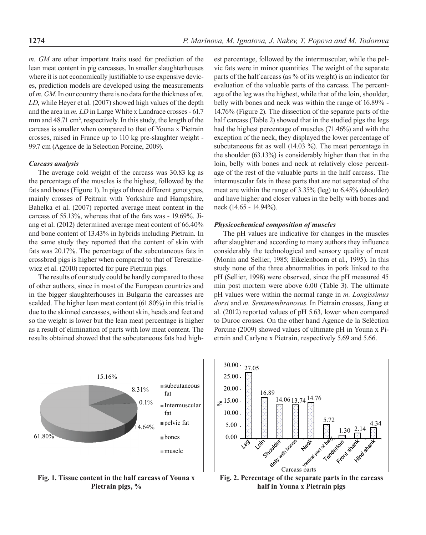*m. GМ* are other important traits used for prediction of the lean meat content in pig carcasses. In smaller slaughterhouses where it is not economically justifiable to use expensive devices, prediction models are developed using the measurements of *m. GМ*. In our country there is no data for the thickness of *m. LD*, while Heyer et al. (2007) showed high values of the depth and the area in *m. LD* in Large White x Landrace crosses - 61.7 mm and 48.71 cm<sup>2</sup>, respectively. In this study, the length of the carcass is smaller when compared to that of Youna x Pietrain crosses, raised in France up to 110 kg pre-slaughter weight - 99.7 сm (Agence de la Selection Porcine, 2009).

#### *Carcass analysis*

The average cold weight of the carcass was 30.83 kg as the percentage of the muscles is the highest, followed by the fats and bones (Figure 1). In pigs of three different genotypes, mainly crosses of Peitrain with Yorkshire and Hampshire, Bahelka et al. (2007) reported average meat content in the carcass of 55.13%, whereas that of the fats was - 19.69%. Jiang et al. (2012) determined average meat content of 66.40% and bone content of 13.43% in hybrids including Pietrain. In the same study they reported that the content of skin with fats was 20.17%. The percentage of the subcutaneous fats in crossbred pigs is higher when compared to that of Tereszkiewicz et al. (2010) reported for pure Pietrain pigs.

The results of our study could be hardly compared to those of other authors, since in most of the European countries and in the bigger slaughterhouses in Bulgaria the carcasses are scalded. The higher lean meat content (61.80%) in this trial is due to the skinned carcasses, without skin, heads and feet and so the weight is lower but the lean meat percentage is higher as a result of elimination of parts with low meat content. The results obtained showed that the subcutaneous fats had high-

15.16% 8.31% 0.1% 14.64% 61.80% subcutaneous fat Intermuscular fat pelvic fat bones muscle

**Fig. 1. Tissue content in the half carcass of Youna x Pietrain pigs, %**

est percentage, followed by the intermuscular, while the pelvic fats were in minor quantities. The weight of the separate parts of the half carcass (as % of its weight) is an indicator for evaluation of the valuable parts of the carcass. The percentage of the leg was the highest, while that of the loin, shoulder, belly with bones and neck was within the range of 16.89% - 14.76% (Figure 2). The dissection of the separate parts of the half carcass (Table 2) showed that in the studied pigs the legs had the highest percentage of muscles (71.46%) and with the exception of the neck, they displayed the lower percentage of subcutaneous fat as well (14.03 %). The meat percentage in the shoulder (63.13%) is considerably higher than that in the loin, belly with bones and neck at relatively close percentage of the rest of the valuable parts in the half carcass. The intermuscular fats in these parts that are not separated of the meat are within the range of 3.35% (leg) to 6.45% (shoulder) and have higher and closer values in the belly with bones and neck (14.65 - 14.94%).

#### *Physicochemical composition of muscles*

The pH values are indicative for changes in the muscles after slaughter and according to many authors they influence considerably the technological and sensory quality of meat (Monin and Sellier, 1985; Eikelenboom et al., 1995). In this study none of the three abnormalities in pork linked to the pH (Sellier, 1998) were observed, since the pH measured 45 min post mortem were above 6.00 (Table 3). The ultimate pH values were within the normal range in *m. Longissimus dorsi* and *m. Semimembranosus*. In Pietrain crosses, Jiang et al. (2012) reported values of pH 5.63, lower when compared to Duroc crosses. On the other hand Agence de la Seléction Porcine (2009) showed values of ultimate pH in Youna х Pietrain and Carlyne x Pietrain, respectively 5.69 and 5.66.



**Fig. 2. Percentage of the separate parts in the carcass half in Youna х Pietrain pigs**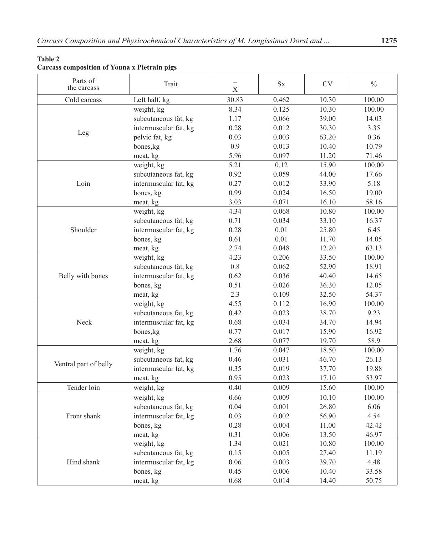# **Table 2**

# **Carcass composition of Youna х Pietrain pigs**

| Parts of<br>the carcass | Trait                 | X        | $\mathbf{S}\mathbf{x}$ | <b>CV</b> | $\frac{0}{0}$ |
|-------------------------|-----------------------|----------|------------------------|-----------|---------------|
| Cold carcass            | Left half, kg         | 30.83    | 0.462                  | 10.30     | 100.00        |
| Leg                     | weight, kg            | 8.34     | 0.125                  | 10.30     | 100.00        |
|                         | subcutaneous fat, kg  | 1.17     | 0.066                  | 39.00     | 14.03         |
|                         | intermuscular fat, kg | 0.28     | 0.012                  | 30.30     | 3.35          |
|                         | pelvic fat, kg        | 0.03     | 0.003                  | 63.20     | 0.36          |
|                         | bones, kg             | 0.9      | 0.013                  | 10.40     | 10.79         |
|                         | meat, kg              | 5.96     | 0.097                  | 11.20     | 71.46         |
|                         | weight, kg            | 5.21     | 0.12                   | 15.90     | 100.00        |
|                         | subcutaneous fat, kg  | 0.92     | 0.059                  | 44.00     | 17.66         |
| Loin                    | intermuscular fat, kg | 0.27     | 0.012                  | 33.90     | 5.18          |
|                         | bones, kg             | 0.99     | 0.024                  | 16.50     | 19.00         |
|                         | meat, kg              | 3.03     | 0.071                  | 16.10     | 58.16         |
|                         | weight, kg            | 4.34     | 0.068                  | 10.80     | 100.00        |
|                         | subcutaneous fat, kg  | 0.71     | 0.034                  | 33.10     | 16.37         |
| Shoulder                | intermuscular fat, kg | 0.28     | 0.01                   | 25.80     | 6.45          |
|                         | bones, kg             | 0.61     | 0.01                   | 11.70     | 14.05         |
|                         | meat, kg              | 2.74     | 0.048                  | 12.20     | 63.13         |
|                         | weight, kg            | 4.23     | 0.206                  | 33.50     | 100.00        |
|                         | subcutaneous fat, kg  | $0.8\,$  | 0.062                  | 52.90     | 18.91         |
| Belly with bones        | intermuscular fat, kg | 0.62     | 0.036                  | 40.40     | 14.65         |
|                         | bones, kg             | 0.51     | 0.026                  | 36.30     | 12.05         |
|                         | meat, kg              | 2.3      | 0.109                  | 32.50     | 54.37         |
|                         | weight, kg            | 4.55     | 0.112                  | 16.90     | 100.00        |
|                         | subcutaneous fat, kg  | 0.42     | 0.023                  | 38.70     | 9.23          |
| Neck                    | intermuscular fat, kg | 0.68     | 0.034                  | 34.70     | 14.94         |
|                         | bones, kg             | 0.77     | 0.017                  | 15.90     | 16.92         |
|                         | meat, kg              | 2.68     | 0.077                  | 19.70     | 58.9          |
|                         | weight, kg            | 1.76     | 0.047                  | 18.50     | 100.00        |
| Ventral part of belly   | subcutaneous fat, kg  | 0.46     | 0.031                  | 46.70     | 26.13         |
|                         | intermuscular fat, kg | 0.35     | 0.019                  | 37.70     | 19.88         |
|                         | meat, kg              | 0.95     | 0.023                  | 17.10     | 53.97         |
| Tender loin             | weight, kg            | 0.40     | 0.009                  | 15.60     | 100.00        |
|                         | weight, kg            | 0.66     | 0.009                  | 10.10     | 100.00        |
| Front shank             | subcutaneous fat, kg  | 0.04     | 0.001                  | 26.80     | 6.06          |
|                         | intermuscular fat, kg | 0.03     | 0.002                  | 56.90     | 4.54          |
|                         | bones, kg             | 0.28     | 0.004                  | 11.00     | 42.42         |
|                         | meat, kg              | 0.31     | 0.006                  | 13.50     | 46.97         |
|                         | weight, kg            | 1.34     | 0.021                  | 10.80     | 100.00        |
|                         | subcutaneous fat, kg  | 0.15     | 0.005                  | 27.40     | 11.19         |
| Hind shank              | intermuscular fat, kg | $0.06\,$ | 0.003                  | 39.70     | 4.48          |
|                         | bones, kg             | 0.45     | 0.006                  | 10.40     | 33.58         |
|                         | meat, kg              | 0.68     | 0.014                  | 14.40     | 50.75         |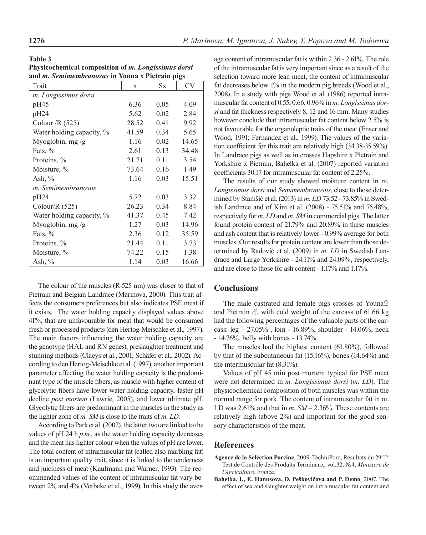**Table 3** 

| 1276 | P. Marinova, M. Ignatova, J. Nakev, T. Popova and M. Todorova |  |  |
|------|---------------------------------------------------------------|--|--|
|------|---------------------------------------------------------------|--|--|

| таріс э                                                |  |
|--------------------------------------------------------|--|
| Physicochemical composition of m. Longissimus dorsi    |  |
| and <i>m. Semimembranosus</i> in Youna x Pietrain pigs |  |

| Trait                     | X     | $S_{X}$ | CV    |
|---------------------------|-------|---------|-------|
| m. Longissimus dorsi      |       |         |       |
| pH45                      | 6.36  | 0.05    | 4.09  |
| pH24                      | 5.62  | 0.02    | 2.84  |
| Colour $/R(525)$          | 28.52 | 0.41    | 9.92  |
| Water holding capacity, % | 41.59 | 0.34    | 5.65  |
| Myoglobin, mg /g          | 1.16  | 0.02    | 14.65 |
| Fats, $%$                 | 2.61  | 0.13    | 34.48 |
| Proteins, %               | 21.71 | 0.11    | 3.54  |
| Moisture, %               | 73.64 | 0.16    | 1.49  |
| Ash, $\%$                 | 1.16  | 0.03    | 15.51 |
| m. Semimembranosus        |       |         |       |
| pH24                      | 5.72  | 0.03    | 3.32  |
| Colour/R $(525)$          | 26.23 | 0.34    | 8.84  |
| Water holding capacity, % | 41.37 | 0.45    | 7.42  |
| Myoglobin, mg /g          | 1.27  | 0.03    | 14.96 |
| Fats, $%$                 | 2.36  | 0.12    | 35.59 |
| Proteins, %               | 21.44 | 0.11    | 3.73  |
| Moisture, %               | 74.22 | 0.15    | 1.38  |
| Ash, $%$                  | 1.14  | 0.03    | 16.66 |

The colour of the muscles (R-525 nm) was closer to that of Pietrain and Belgian Landrace (Marinova, 2000). This trait affects the consumers preferences but also indicates PSE meat if it exists. The water holding capacity displayed values above 41%, that are unfavourable for meat that would be consumed fresh or processed products (den Hertog-Meischke et al., 1997). The main factors influencing the water holding capacity are the genotype (HAL and RN genes), preslaughter treatment and stunning methods (Claeys et al., 2001; Schäfer et al., 2002). According to den Hertog-Meischke et al. (1997), another important parameter affecting the water holding capacity is the predominant type of the muscle fibers, as muscle with higher content of glycolytic fibers have lower water holding capacity, faster pH decline *post mortem* (Lawrie, 2005), and lower ultimate pH. Glycolytic fibers are predominant in the muscles in the study as the lighter zone of *m. SM* is close to the traits of *m. LD*.

According to Park et al. (2002), the latter two are linked to the values of pH 24 h *p.m*., as the water holding capacity decreases and the meat has lighter colour when the values of pH are lower. The total content of intramuscular fat (called also marbling fat) is an important quality trait, since it is linked to the tenderness and juiciness of meat (Kaufmann and Warner, 1993). The recommended values of the content of intramuscular fat vary between 2% and 4% (Verbeke et al., 1999). In this study the aver-

age content of intramuscular fat is within 2.36 - 2.61%. The role of the intramuscular fat is very important since as a result of the selection toward more lean meat, the content of intramuscular fat decreases below 1% in the modern pig breeds (Wood et al., 2008). In a study with pigs Wood et al. (1986) reported intramuscular fat content of 0.55, 0.66, 0.96% in *m. Longissimus dorsi* and fat thickness respectively 8, 12 and 16 mm. Many studies however conclude that intramuscular fat content below 2.5% is not favourable for the organoleptic traits of the meat (Enser and Wood, 1991; Fernandez et al., 1999). The values of the variation coefficient for this trait are relatively high (34.38-35.59%). In Landrace pigs as well as in crosses Hapshire x Pietrain and Yorkshire x Pietrain, Bahelka et al. (2007) reported variation coefficients 30.17 for intramuscular fat content of 2.25%.

The results of our study showed moisture content in m*. Longissimus dorsi* and *Semimembranosus*, close to those determined by Stanišić et al. (2013) in *m. LD* 73.52 - 73.85% in Swedish Landrace and of Kim et al. (2008) - 75.51% and 75.48%, respectively for *m. LD* and *m. SM* in commercial pigs. The latter found protein content of 21.79% and 20.89% in these muscles and ash content that is relatively lower - 0.99% average for both muscles. Our results for protein content are lower than those determined by Radović et al. (2009) in *m. LD* in Swedish Landrace and Large Yorkshire - 24.11% and 24.09%, respectively, and are close to those for ash content - 1.17% and 1.17%.

## **Conclusions**

The male castrated and female pigs crosses of Youna♀ and Pietrain  $\delta$ , with cold weight of the carcass of 61.66 kg had the following percentages of the valuable parts of the carcass: leg – 27.05% , loin - 16.89%, shoulder - 14.06%, neck - 14.76%, belly with bones - 13.74%.

The muscles had the highest content (61.80%), followed by that of the subcutaneous fat (15.16%), bones (14.64%) and the intermuscular fat (8.31%).

Values of pH 45 min post mortem typical for PSE meat were not determined in *m. Longissimus dorsi* (*m. LD*). The physicochemical composition of both muscles was within the normal range for pork. The content of intramuscular fat in m. LD was 2.61% and that in *m. SM* – 2.36%. These contents are relatively high (above 2%) and important for the good sensory characteristics of the meat.

#### **References**

- **Agence de la Seléction Porcine**, 2009. TechniPorc, Résultats du 29-éme Test de Contrôle des Produits Terminaux, vol.32, №4, *Ministere de l´Agriculture*, France.
- **Bahelka, I., E. Hanusova, D. Peškovičova and P. Demo**, 2007. The effect of sex and slaughter weight on intramuscular fat content and